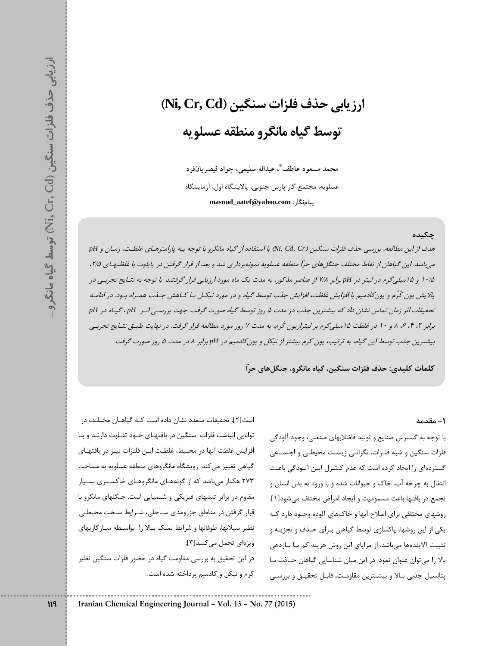# ارزيابي حذف فلزات سنگين (Ni, Cr, Cd) توسط گياه مانگرو منطقه عسلويه

محمد مسعود عاطف ؓ، عبداله سليمي، جواد قيصريانفرد عسلويه، مجتمع گاز يارس جنوبي، يالايشگاه اول، آزمايشگاه masoud\_aatef@yahoo.com : بيامنگا,:

## چکىدە

هدف از این مطالعه، بررسی حذف فلزات سنگین (Ni, Cd, Cr) با استفاده از گیاه مانگرو با توجه بـه پارامترهـای غلظـت، زمـان و PH می باشد. این گیاهان از نقاط مختلف جنگل های حرّا منطقه عسلویه نمونهبرداری شد و بعد از قرار گرفتن در پایلوت با غلظتهای ۲/۵، ۱۰/۵ و ۱۵میلی گرم در لیتر در pH برابر ۷/۸ از عناصر مذکور، به مدت یک ماه مورد ارزیابی قرار گرفتند. با توجه به نتـایج تجربـی در پلایش یون کُرُم و یون کادمیم با افزایش غلظت، افزایش جذب توسط گیاه و در مورد نیکسل بـا کـاهش جـذب همـراه بـود. در ادامـه تحقیقات اثر زمان تماس نشان داد که بیشترین جذب در مدت ۵ روز توسط گیاه صورت گرفت. جهت بررسـی اثـر pH ، گیـاه در pH برابر ۲، ۴، ۶، ۸ و ۱۰ در غلظت ۱۵میله گرم بر لیترازیون کُرم، به مدت ۷ روز مورد مطالعه قرار گرفت. در نهایت طبیق نتبایج تجرببی بیشترین جذب توسط این گیاه، به ترتیب، یون کرم بیشتر از نیکل و یون کادمیم در pH برابر ۸ در مدت ۵ روز صورت گرفت.

كلمات كليدي: حذف فلزات سنگين، گياه مانگرو، جنگلهاي حرّا

#### ١- مقدمه

با توجه به گسترش صنایع و تولید فاضلابهای صنعتی، وجود آلودگی فلزات سنگین و شبه فلـزات، نگرانـی زیسـت محیطـی و اجتمـاعی گستردهای را ایجاد کرده است که عدم کنتـرل ایـن آلـودگی باعـث انتقال به چرخه آب، خاک و حیوانات شده و با ورود به بدن انسان و تجمع در بافتها باعث مسموميت و ايجاد امراض مختلف مىشود[1]. روشهای مختلفی برای اصلاح آبها و خاکهای آلوده وجـود دارد کـه یکی از این روشها، پاکسازی توسط گیاهان بـرای حـذف و تجزیـه و تثبیت آلایندهها میباشد. از مزایای این روش هزینه کم بـا بـازدهی بالا را می توان عنوان نمود. در این میان شناسایی گیاهان جـاذب بـا يتانسيل جذبي بـالا و بيشــترين مقاومـت، قابـل تحقيـق و بررسـي

است[۲]. تحقیقات متعدد نشان داده است کـه گیاهـان مختلـف در توانایی انباشت فلزات سنگین در بافتهای خود تفاوت دارند و با افزایش غلظت آنها در محیط، غلظت ایـن فلـزات نیـز در بافتهـای گیاهی تغییر میکند. رویشگاه مانگروهای منطقه عسلویه به مساحت ۲۷۳ هکتار می باشد که از گونههـای مانگروهـای خاکسـتری بسـیار مقاوم در برابر تنشهای فیزیکی و شیمیایی است. جنگلهای مانگرو با قرار گرفتن در مناطق جزرومدی سـاحلی، شـرایط سـخت محیطـی نظیر سیلابها، طوفانها و شرایط نمک بالا را بواسطه سازگاریهای ویژهای تحمل می کنند[۳]. در این تحقیق به بررسی مقاومت گیاه در حضور فلزات سنگین نظیر کرم و نیکل و کادمیم پرداخته شده است.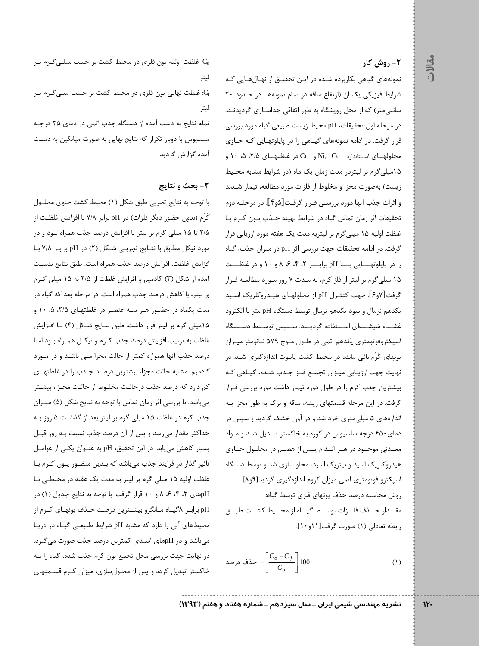## **۲- روش کار**

مقالات

نمونههای گیاهی بکاربرده شـده در ایـن تحقیـق از نهـالهـایی کـه شرایط فیزیکی یکسان (ارتفاع ساقه در تمام نمونهها در حدود ٢٠ سانتی متر) که از محل رویشگاه به طور اتفاقی جداسـازی گردیدنـد. در مرحله اول تحقیقات، pH محیط زیست طبیعی گیاه مورد بررسی قرار گرفت. در ادامه نمونههای گیـاهی را در پایلوتهـایی کـه حـاوی محلولهسای استاندارد Ni, Cd و Cr در غلظتهسای ۲/۵، ۵، ۱۰ و ۱۵میلیگرم بر لیتردر مدت زمان یک ماه (در شرایط مشابه محـیط زیست) بهصورت مجزا و مخلوط از فلزات مورد مطالعه، تیمار شـدند و اثرات جذب آنها مورد بررسـي قـرار گرفـت[۵و۴]. در مرحلـه دوم تحقیقات اثر زمان تماس گیاه در شرایط بهینه جـذب یـون کـرم بـا غلظت اولیه ۱۵ میلی گرم بر لیتربه مدت یک هفته مورد ارزیابی قرار گرفت. در ادامه تحقیقات جهت بررسی اثر pH در میزان جذب، گیاه را در پایلوتهـــایی بـــا pH برابـــر ۲، ۴، ۶، ۸ و ۱۰ و در غلظـــت ۱۵ میلیگرم بر لیتر از فلز کرم، به مـدت ۷ روز مـورد مطالعـه قـرار گرفت[۷و۶]. جهت كنتـرل pH از محلولهـاي هيـدروكلريک اسـيد يكدهم نرمال و سود يكدهم نرمال توسط دستگاه pH متر با الكترود غشـاء شيشــهاى اســتفاده گرديــد. ســپس توســط دســتگاه اسپکتروفوتومتری یکدهم اتمی در طـول مـوج ۵۷۹ نـانومتر میـزان یونهای کُرُم باقی مانده در محیط کشت پایلوت اندازهگیری شـد. در نهایت جهت ارزیـابی میـزان تجمـع فلـز جـذب شـده، گیـاهی کـه بیشترین جذب کرم را در طول دوره تیمار داشت مورد بررسی قـرار گرفت. در این مرحله قسمتهای ریشه، ساقه و برگ به طور مجزا بـه اندازههای ۵ میلی متری خرد شد و در آون خشک گردید و سیس در دمای ۶۵۰ درجه سلسیوس در کوره به خاکستر تبـدیل شـد و مـواد معـدنی موجــود در هــر انــدام پــس از هضــم در محلــول حــاوی هیدروکلریک اسید و نیتریک اسید، محلولسازی شد و توسط دستگاه اسپکترو فوتومتری اتمی میزان کروم اندازهگیری گردید[۹و۸]. روش محاسبه درصد حذف يونهاى فلزى توسط گياه: مقــدار حــذف فلــزات توســط گيــاه از محــيط كشــت طبــق رابطه تعادلى (١) صورت گرفت[١١و١٠].

حذف درصد  $=$  $\left[\frac{C_o - C_f}{C_o}\right]$ 100  $(1)$ 

غلظت اولیه یون فلزی در محیط کشت بر حسب میلـی گـرم بـر:  $\mathrm{C}_0$ ليتر

.<br>د غلظت نهایی یون فلزی در محیط کشت بر حسب میلی *گـر*م بـر: ليتر

تمام نتایج به دست آمده از دستگاه جذب اتمی در دمای ۲۵ درجه سلسیوس با دوبار تکرار که نتایج نهایی به صورت میانگین به دست آمده گزارش گردید.

## ۳- بحث و نتایج

با توجه به نتايج تجربي طبق شكل (١) محيط كشت حاوى محلـول كُرُم (بدون حضور ديگر فلزات) در pH برابر ٧/٨ با افزايش غلظـت از ۲/۵ تا ۱۵ میلی گرم بر لیتر با افزایش درصد جذب همراه بود و در مورد نیکل مطابق با نتایج تجربی شکل (٢) در pH برابر ٧/٨ با افزايش غلظت، افزايش درصد جذب همراه است. طبق نتايج بدست آمده از شکل (۳) کادمیم با افزایش غلظت از ۲/۵ به ۱۵ میلی گـرم بر لیتر، با کاهش درصد جذب همراه است. در مرحله بعد که گیاه در مدت یکماه در حضـور هـر سـه عنصـر در غلظتهـای ۲/۵، ۵، ۱۰ و ۱۵میلی گرم بر لیتر قرار داشت. طبق نتـایج شـكل (۴) بـا افـزایش غلظت به ترتیب افزایش درصد جذب کرم و نیکـل همـراه بـود امـا درصد جذب آنها همواره کمتر از حالت مجزا مـی باشـد و در مـورد كادميم، مشابه حالت مجزا، بيشترين درصـد جـذب را در غلظتهـاي کم دارد که درصد جذب درحالت مخلـوط از حالـت مجـزا، بيشـتر میباشد. با بررسی اثر زمان تماس با توجه به نتایج شکل (۵) میـزان جذب کرم در غلظت ۱۵ میلی گرم بر لیتر بعد از گذشت ۵ روز بـه حداکثر مقدار می رسد و پس از آن درصد جذب نسبت بـه روز قبـل بسیار کاهش می یابد. در این تحقیق، pH به عنوان یکی از عوامل تاثیر گذار در فرایند جذب میباشد که بـدین منظـور یـون کـرم بـا غلظت اولیه ۱۵ میلی گرم بر لیتر به مدت یک هفته در محیطی با pHهای ۲، ۴، ۶، ۸ و ۱۰ قرار گرفت. با توجه به نتایج جدول (۱) در pH برابر ۸گیـاه مـانگرو بیشـترین درصـد حـذف یونهـای کـرم از محیطهای آبی را دارد که مشابه pH شرایط طبیعی گیاه در دریا میباشد و در pHهای اسیدی کمترین درصد جذب صورت میگیرد. در نهایت جهت بررسی محل تجمع یون کرم جذب شده، گیاه را بـه خاکستر تبدیل کرده و پس از محلولسازی، میزان کرم قسـمتهای

نشریه مهندسی شیمی ایران ــ سال سیزدهم ــ شماره هفتاد و هفتم (۱۳۹۳)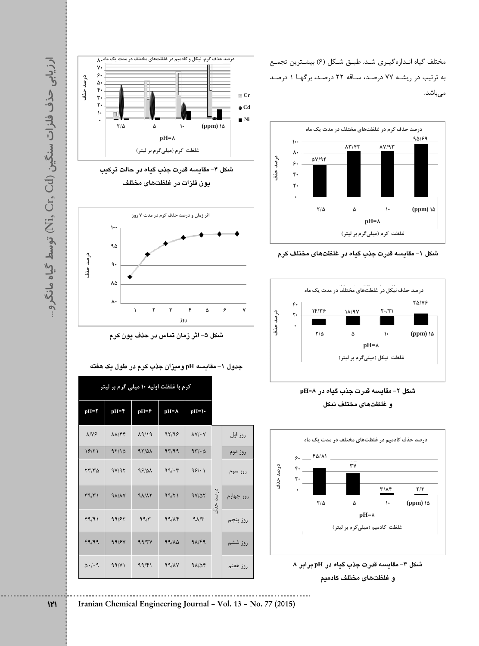مختلف گیاه انـدازهگیـری شـد. طبـق شـكل (۶) بیشـترین تجمـع به ترتیب در ریشـه ۷۷ درصـد، سـاقه ۲۲ درصـد، برگهـا ۱ درصـد مىباشد.















**¥**⌒ **d** $\checkmark$ 

**Iranian Chemical Engineering Journal ñ Vol. 13 ñ No. 77 (2015)**